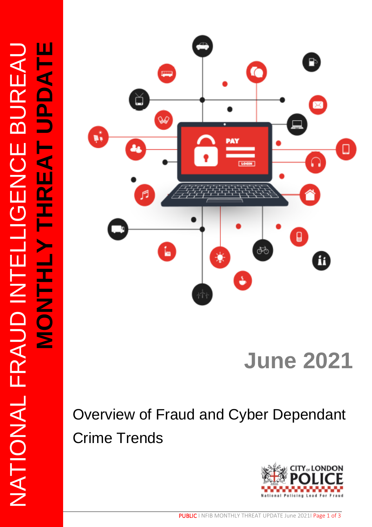

# **June 2021**

# Overview of Fraud and Cyber Dependant Crime Trends

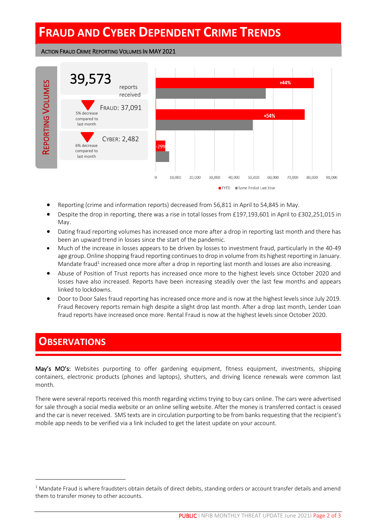## **FRAUD AND CYBER DEPENDENT CRIME TRENDS**

ACTION FRAUD CRIME REPORTING VOLUMES IN MAY 2021



- Reporting (crime and information reports) decreased from 56,811 in April to 54,845 in May.
- Despite the drop in reporting, there was a rise in total losses from £197,193,601 in April to £302,251,015 in May.
- Dating fraud reporting volumes has increased once more after a drop in reporting last month and there has been an upward trend in losses since the start of the pandemic.
- Much of the increase in losses appears to be driven by losses to investment fraud, particularly in the 40-49 age group. Online shopping fraud reporting continues to drop in volume from its highest reporting in January. Mandate fraud<sup>1</sup> increased once more after a drop in reporting last month and losses are also increasing.
- Abuse of Position of Trust reports has increased once more to the highest levels since October 2020 and losses have also increased. Reports have been increasing steadily over the last few months and appears linked to lockdowns.
- Door to Door Sales fraud reporting has increased once more and is now at the highest levels since July 2019. Fraud Recovery reports remain high despite a slight drop last month. After a drop last month, Lender Loan fraud reports have increased once more. Rental Fraud is now at the highest levels since October 2020.

#### **OBSERVATIONS**

May's MO's: Websites purporting to offer gardening equipment, fitness equipment, investments, shipping containers, electronic products (phones and laptops), shutters, and driving licence renewals were common last month.

There were several reports received this month regarding victims trying to buy cars online. The cars were advertised for sale through a social media website or an online selling website. After the money is transferred contact is ceased and the car is never received. SMS texts are in circulation purporting to be from banks requesting that the recipient's mobile app needs to be verified via a link included to get the latest update on your account.

 $1$  Mandate Fraud is where fraudsters obtain details of direct debits, standing orders or account transfer details and amend them to transfer money to other accounts.